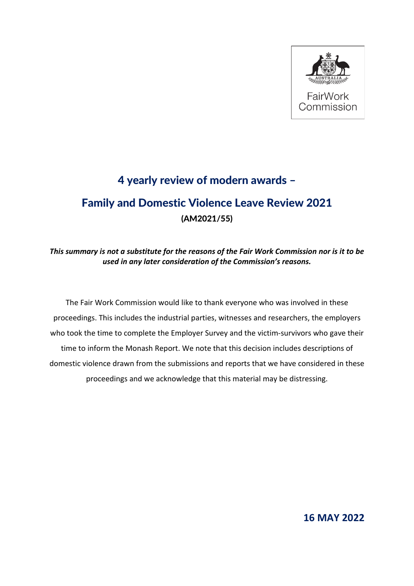

# 4 yearly review of modern awards – Family and Domestic Violence Leave Review 2021 (AM2021/55)

# *This summary is not a substitute for the reasons of the Fair Work Commission nor is it to be used in any later consideration of the Commission's reasons.*

The Fair Work Commission would like to thank everyone who was involved in these proceedings. This includes the industrial parties, witnesses and researchers, the employers who took the time to complete the Employer Survey and the victim-survivors who gave their time to inform the Monash Report. We note that this decision includes descriptions of domestic violence drawn from the submissions and reports that we have considered in these proceedings and we acknowledge that this material may be distressing.

**16 MAY 2022**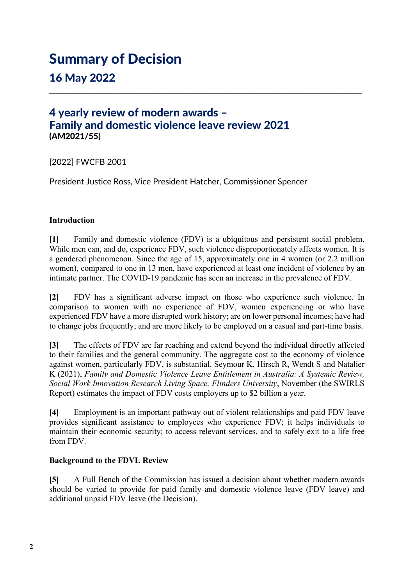# Summary of Decision

16 May 2022

# 4 yearly review of modern awards – Family and domestic violence leave review 2021 (AM2021/55)

[2022] FWCFB 2001

President Justice Ross, Vice President Hatcher, Commissioner Spencer

## **Introduction**

**[1]** Family and domestic violence (FDV) is a ubiquitous and persistent social problem. While men can, and do, experience FDV, such violence disproportionately affects women. It is a gendered phenomenon. Since the age of 15, approximately one in 4 women (or 2.2 million women), compared to one in 13 men, have experienced at least one incident of violence by an intimate partner. The COVID-19 pandemic has seen an increase in the prevalence of FDV.

\_\_\_\_\_\_\_\_\_\_\_\_\_\_\_\_\_\_\_\_\_\_\_\_\_\_\_\_\_\_\_\_\_\_\_\_\_\_\_\_\_\_\_\_\_\_\_\_\_\_\_\_\_\_\_\_\_\_\_\_\_\_\_\_\_\_\_\_\_\_\_\_\_\_\_

**[2]** FDV has a significant adverse impact on those who experience such violence. In comparison to women with no experience of FDV, women experiencing or who have experienced FDV have a more disrupted work history; are on lower personal incomes; have had to change jobs frequently; and are more likely to be employed on a casual and part-time basis.

**[3]** The effects of FDV are far reaching and extend beyond the individual directly affected to their families and the general community. The aggregate cost to the economy of violence against women, particularly FDV, is substantial. Seymour K, Hirsch R, Wendt S and Natalier K (2021), *Family and Domestic Violence Leave Entitlement in Australia: A Systemic Review, Social Work Innovation Research Living Space, Flinders University*, November (the SWIRLS Report) estimates the impact of FDV costs employers up to \$2 billion a year.

**[4]** Employment is an important pathway out of violent relationships and paid FDV leave provides significant assistance to employees who experience FDV; it helps individuals to maintain their economic security; to access relevant services, and to safely exit to a life free from FDV.

#### **Background to the FDVL Review**

**[5]** A Full Bench of the Commission has issued a decision about whether modern awards should be varied to provide for paid family and domestic violence leave (FDV leave) and additional unpaid FDV leave (the Decision).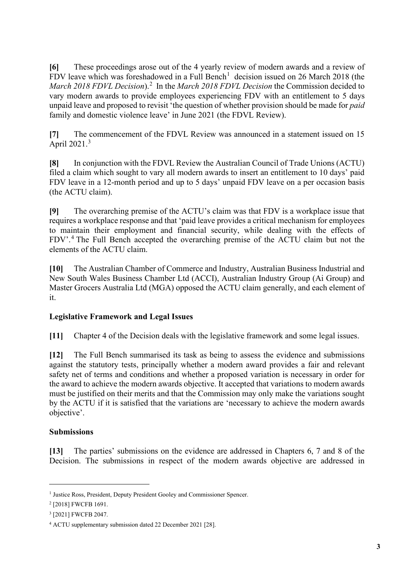**[6]** These proceedings arose out of the 4 yearly review of modern awards and a review of FDV leave which was foreshadowed in a Full Bench<sup>[1](#page-2-0)</sup> decision issued on 26 March 2018 (the March [2](#page-2-1)018 FDVL Decision).<sup>2</sup> In the *March 2018 FDVL Decision* the Commission decided to vary modern awards to provide employees experiencing FDV with an entitlement to 5 days unpaid leave and proposed to revisit 'the question of whether provision should be made for *paid* family and domestic violence leave' in June 2021 (the FDVL Review).

**[7]** The commencement of the FDVL Review was announced in a statement issued on 15 April 2021.[3](#page-2-2)

**[8]** In conjunction with the FDVL Review the Australian Council of Trade Unions (ACTU) filed a claim which sought to vary all modern awards to insert an entitlement to 10 days' paid FDV leave in a 12-month period and up to 5 days' unpaid FDV leave on a per occasion basis (the ACTU claim).

**[9]** The overarching premise of the ACTU's claim was that FDV is a workplace issue that requires a workplace response and that 'paid leave provides a critical mechanism for employees to maintain their employment and financial security, while dealing with the effects of FDV'.[4](#page-2-3) The Full Bench accepted the overarching premise of the ACTU claim but not the elements of the ACTU claim.

**[10]** The Australian Chamber of Commerce and Industry, Australian Business Industrial and New South Wales Business Chamber Ltd (ACCI), Australian Industry Group (Ai Group) and Master Grocers Australia Ltd (MGA) opposed the ACTU claim generally, and each element of it.

# **Legislative Framework and Legal Issues**

**[11]** Chapter 4 of the Decision deals with the legislative framework and some legal issues.

**[12]** The Full Bench summarised its task as being to assess the evidence and submissions against the statutory tests, principally whether a modern award provides a fair and relevant safety net of terms and conditions and whether a proposed variation is necessary in order for the award to achieve the modern awards objective. It accepted that variations to modern awards must be justified on their merits and that the Commission may only make the variations sought by the ACTU if it is satisfied that the variations are 'necessary to achieve the modern awards objective'.

#### **Submissions**

**[13]** The parties' submissions on the evidence are addressed in Chapters 6, 7 and 8 of the Decision. The submissions in respect of the modern awards objective are addressed in

<span id="page-2-0"></span><sup>&</sup>lt;sup>1</sup> Justice Ross, President, Deputy President Gooley and Commissioner Spencer.

<span id="page-2-1"></span><sup>2</sup> [2018] FWCFB 1691.

<span id="page-2-2"></span><sup>3</sup> [2021] FWCFB 2047.

<span id="page-2-3"></span><sup>4</sup> ACTU supplementary submission dated 22 December 2021 [28].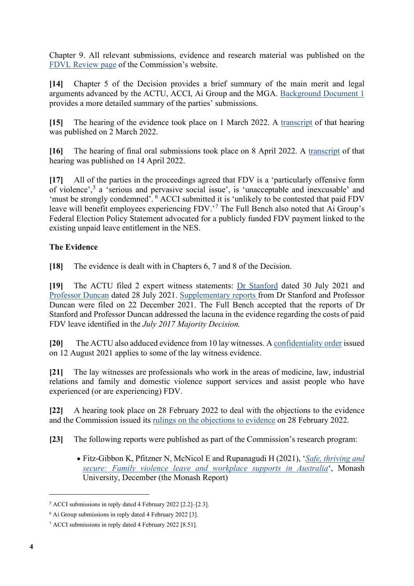Chapter 9. All relevant submissions, evidence and research material was published on the [FDVL Review page](https://www.fwc.gov.au/hearings-decisions/major-cases/family-and-domestic-violence-leave-review-2021) of the Commission's website.

**[14]** Chapter 5 of the Decision provides a brief summary of the main merit and legal arguments advanced by the ACTU, ACCI, Ai Group and the MGA. [Background Document 1](https://www.fwc.gov.au/documents/sites/family-domestic-violence-leave/research/am202155-background-doc-leave-110322.pdf) provides a more detailed summary of the parties' submissions.

**[15]** The hearing of the evidence took place on 1 March 2022. A [transcript](https://www.fwc.gov.au/documents/sites/family-domestic-violence-leave/transcript/010322-am202155.htm) of that hearing was published on 2 March 2022.

**[16]** The hearing of final oral submissions took place on 8 April 2022. A [transcript](https://www.fwc.gov.au/documents/sites/family-domestic-violence-leave/transcript/080422-am202155.htm) of that hearing was published on 14 April 2022.

**[17]** All of the parties in the proceedings agreed that FDV is a 'particularly offensive form of violence', [5](#page-3-0) a 'serious and pervasive social issue', is 'unacceptable and inexcusable' and 'must be strongly condemned'. [6](#page-3-1) ACCI submitted it is 'unlikely to be contested that paid FDV leave will benefit employees experiencing FDV.'<sup>[7](#page-3-2)</sup> The Full Bench also noted that Ai Group's Federal Election Policy Statement advocated for a publicly funded FDV payment linked to the existing unpaid leave entitlement in the NES.

# **The Evidence**

**[18]** The evidence is dealt with in Chapters 6, 7 and 8 of the Decision.

**[19]** The ACTU filed 2 expert witness statements: [Dr Stanford](https://www.fwc.gov.au/documents/sites/family-domestic-violence-leave/submissions/am202155-sub-ws-js-actu-300721.pdf) dated 30 July 2021 and [Professor Duncan](https://www.fwc.gov.au/documents/sites/family-domestic-violence-leave/submissions/am202155-sub-ws-ad-actu-300721.pdf) dated 28 July 2021. [Supplementary reports f](https://www.fwc.gov.au/documents/sites/family-domestic-violence-leave/submissions/am202155-sub-actu-221221.pdf)rom Dr Stanford and Professor Duncan were filed on 22 December 2021. The Full Bench accepted that the reports of Dr Stanford and Professor Duncan addressed the lacuna in the evidence regarding the costs of paid FDV leave identified in the *July 2017 Majority Decision.* 

**[20]** The ACTU also adduced evidence from 10 lay witnesses. A [confidentiality order](https://www.fwc.gov.au/documents/awardsandorders/html/pr732760.htm) issued on 12 August 2021 applies to some of the lay witness evidence.

**[21]** The lay witnesses are professionals who work in the areas of medicine, law, industrial relations and family and domestic violence support services and assist people who have experienced (or are experiencing) FDV.

**[22]** A hearing took place on 28 February 2022 to deal with the objections to the evidence and the Commission issued its [rulings on the objections to evidence](https://www.fwc.gov.au/documents/sites/family-domestic-violence-leave/decisions-statements/am202155-objections-evidence-rulings-280222.pdf) on 28 February 2022.

**[23]** The following reports were published as part of the Commission's research program:

• Fitz-Gibbon K, Pfitzner N, McNicol E and Rupanagudi H (2021), '*[Safe, thriving and](https://www.fwc.gov.au/documents/sites/family-domestic-violence-leave/correspondence/am202155-report-safe-thriving-secure-101221.pdf)  [secure: Family violence leave and workplace supports in Australia](https://www.fwc.gov.au/documents/sites/family-domestic-violence-leave/correspondence/am202155-report-safe-thriving-secure-101221.pdf)*', Monash University, December (the Monash Report)

<span id="page-3-0"></span><sup>5</sup> ACCI submissions in reply dated 4 February 2022 [2.2]–[2.3].

<span id="page-3-1"></span><sup>6</sup> Ai Group submissions in reply dated 4 February 2022 [3].

<span id="page-3-2"></span><sup>7</sup> ACCI submissions in reply dated 4 February 2022 [8.51].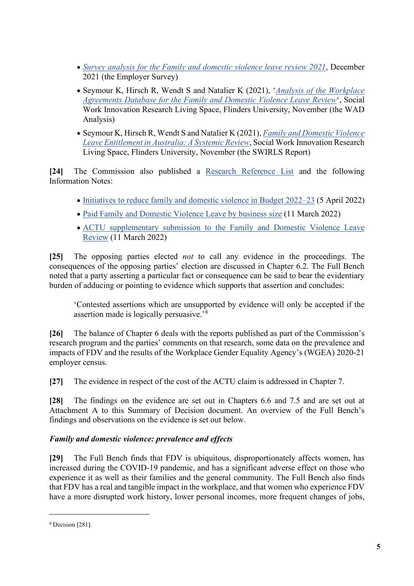- *[Survey analysis for the Family and domestic violence leave review 2021](https://www.fwc.gov.au/documents/sites/family-domestic-violence-leave/correspondence/am202155-report-survey-analysis-101221.pdf)*, December 2021 (the Employer Survey)
- Seymour K, Hirsch R, Wendt S and Natalier K (2021), '*[Analysis of the Workplace](https://www.fwc.gov.au/documents/sites/family-domestic-violence-leave/correspondence/am202155-report-literature-review-031121.pdf) [Agreements Database for the Family and Domestic Violence Leave Review](https://www.fwc.gov.au/documents/sites/family-domestic-violence-leave/correspondence/am202155-report-literature-review-031121.pdf)*', Social Work Innovation Research Living Space, Flinders University, November (the WAD Analysis)
- Seymour K, Hirsch R, Wendt S and Natalier K (2021), *[Family and Domestic Violence](https://www.fwc.gov.au/documents/sites/family-domestic-violence-leave/correspondence/am202155-report-wad-data-031121.pdf)  [Leave Entitlement in Australia: A Systemic Review](https://www.fwc.gov.au/documents/sites/family-domestic-violence-leave/correspondence/am202155-report-wad-data-031121.pdf)*, Social Work Innovation Research Living Space, Flinders University, November (the SWIRLS Report)

**[24]** The Commission also published a [Research Reference List](https://www.fwc.gov.au/documents/sites/family-domestic-violence-leave/research/am202155-rrl-060422.pdf) and the following Information Notes:

- [Initiatives to reduce family and domestic violence in Budget 2022–23](https://www.fwc.gov.au/documents/sites/family-domestic-violence-leave/research/am202155-info-note-budget-050422.pdf) (5 April 2022)
- [Paid Family and Domestic Violence Leave by business size](https://www.fwc.gov.au/documents/sites/family-domestic-violence-leave/research/am202155-info-note-leave-110322.pdf) (11 March 2022)
- [ACTU supplementary submission to the Family and Domestic Violence Leave](https://www.fwc.gov.au/documents/sites/family-domestic-violence-leave/research/am202155-info-note-actu-supp-subs-110322.pdf)  [Review](https://www.fwc.gov.au/documents/sites/family-domestic-violence-leave/research/am202155-info-note-actu-supp-subs-110322.pdf) (11 March 2022)

**[25]** The opposing parties elected *not* to call any evidence in the proceedings. The consequences of the opposing parties' election are discussed in Chapter 6.2. The Full Bench noted that a party asserting a particular fact or consequence can be said to bear the evidentiary burden of adducing or pointing to evidence which supports that assertion and concludes:

'Contested assertions which are unsupported by evidence will only be accepted if the assertion made is logically persuasive.'<sup>[8](#page-4-0)</sup>

**[26]** The balance of Chapter 6 deals with the reports published as part of the Commission's research program and the parties' comments on that research, some data on the prevalence and impacts of FDV and the results of the Workplace Gender Equality Agency's (WGEA) 2020-21 employer census.

**[27]** The evidence in respect of the cost of the ACTU claim is addressed in Chapter 7.

**[28]** The findings on the evidence are set out in Chapters 6.6 and 7.5 and are set out at Attachment A to this Summary of Decision document. An overview of the Full Bench's findings and observations on the evidence is set out below.

# *Family and domestic violence: prevalence and effects*

**[29]** The Full Bench finds that FDV is ubiquitous, disproportionately affects women, has increased during the COVID-19 pandemic, and has a significant adverse effect on those who experience it as well as their families and the general community. The Full Bench also finds that FDV has a real and tangible impact in the workplace, and that women who experience FDV have a more disrupted work history, lower personal incomes, more frequent changes of jobs,

<span id="page-4-0"></span><sup>8</sup> Decision [281].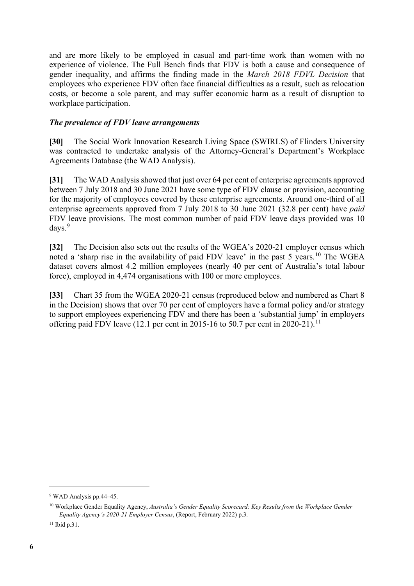and are more likely to be employed in casual and part-time work than women with no experience of violence. The Full Bench finds that FDV is both a cause and consequence of gender inequality, and affirms the finding made in the *March 2018 FDVL Decision* that employees who experience FDV often face financial difficulties as a result, such as relocation costs, or become a sole parent, and may suffer economic harm as a result of disruption to workplace participation.

#### *The prevalence of FDV leave arrangements*

**[30]** The Social Work Innovation Research Living Space (SWIRLS) of Flinders University was contracted to undertake analysis of the Attorney-General's Department's Workplace Agreements Database (the WAD Analysis).

**[31]** The WAD Analysis showed that just over 64 per cent of enterprise agreements approved between 7 July 2018 and 30 June 2021 have some type of FDV clause or provision, accounting for the majority of employees covered by these enterprise agreements. Around one-third of all enterprise agreements approved from 7 July 2018 to 30 June 2021 (32.8 per cent) have *paid* FDV leave provisions. The most common number of paid FDV leave days provided was 10 days. [9](#page-5-0)

**[32]** The Decision also sets out the results of the WGEA's 2020-21 employer census which noted a 'sharp rise in the availability of paid FDV leave' in the past 5 years.[10](#page-5-1) The WGEA dataset covers almost 4.2 million employees (nearly 40 per cent of Australia's total labour force), employed in 4,474 organisations with 100 or more employees.

**[33]** Chart 35 from the WGEA 2020-21 census (reproduced below and numbered as Chart 8 in the Decision) shows that over 70 per cent of employers have a formal policy and/or strategy to support employees experiencing FDV and there has been a 'substantial jump' in employers offering paid FDV leave (12.1 per cent in 2015-16 to 50.7 per cent in 2020-21).<sup>[11](#page-5-2)</sup>

<span id="page-5-0"></span><sup>9</sup> WAD Analysis pp.44–45.

<span id="page-5-1"></span><sup>&</sup>lt;sup>10</sup> Workplace Gender Equality Agency, *Australia's Gender Equality Scorecard: Key Results from the Workplace Gender Equality Agency's 2020-21 Employer Census*, (Report, February 2022) p.3.

<span id="page-5-2"></span><sup>&</sup>lt;sup>11</sup> Ibid p.31.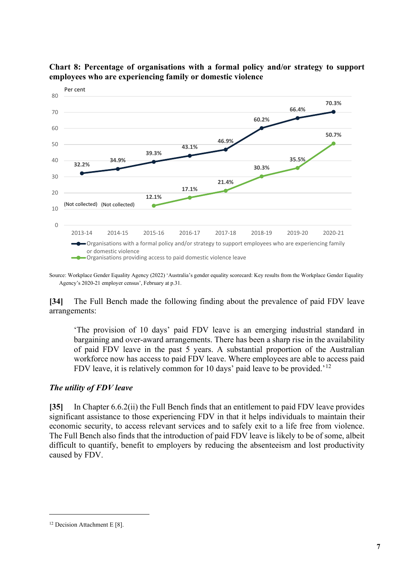

## **Chart 8: Percentage of organisations with a formal policy and/or strategy to support employees who are experiencing family or domestic violence**

Source: Workplace Gender Equality Agency (2022) 'Australia's gender equality scorecard: Key results from the Workplace Gender Equality Agency's 2020-21 employer census', February at p.31.

**[34]** The Full Bench made the following finding about the prevalence of paid FDV leave arrangements:

'The provision of 10 days' paid FDV leave is an emerging industrial standard in bargaining and over-award arrangements. There has been a sharp rise in the availability of paid FDV leave in the past 5 years. A substantial proportion of the Australian workforce now has access to paid FDV leave. Where employees are able to access paid FDV leave, it is relatively common for 10 days' paid leave to be provided.'<sup>[12](#page-6-0)</sup>

#### *The utility of FDV leave*

**[35]** In Chapter 6.6.2(ii) the Full Bench finds that an entitlement to paid FDV leave provides significant assistance to those experiencing FDV in that it helps individuals to maintain their economic security, to access relevant services and to safely exit to a life free from violence. The Full Bench also finds that the introduction of paid FDV leave is likely to be of some, albeit difficult to quantify, benefit to employers by reducing the absenteeism and lost productivity caused by FDV.

<span id="page-6-0"></span><sup>&</sup>lt;sup>12</sup> Decision Attachment E [8].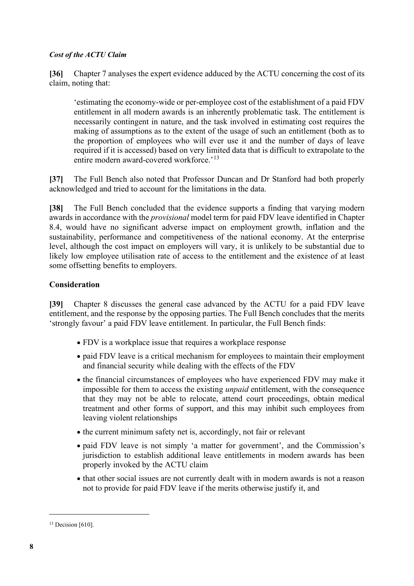#### *Cost of the ACTU Claim*

**[36]** Chapter 7 analyses the expert evidence adduced by the ACTU concerning the cost of its claim, noting that:

'estimating the economy-wide or per-employee cost of the establishment of a paid FDV entitlement in all modern awards is an inherently problematic task. The entitlement is necessarily contingent in nature, and the task involved in estimating cost requires the making of assumptions as to the extent of the usage of such an entitlement (both as to the proportion of employees who will ever use it and the number of days of leave required if it is accessed) based on very limited data that is difficult to extrapolate to the entire modern award-covered workforce.<sup>'[13](#page-7-0)</sup>

**[37]** The Full Bench also noted that Professor Duncan and Dr Stanford had both properly acknowledged and tried to account for the limitations in the data.

**[38]** The Full Bench concluded that the evidence supports a finding that varying modern awards in accordance with the *provisional* model term for paid FDV leave identified in Chapter 8.4, would have no significant adverse impact on employment growth, inflation and the sustainability, performance and competitiveness of the national economy. At the enterprise level, although the cost impact on employers will vary, it is unlikely to be substantial due to likely low employee utilisation rate of access to the entitlement and the existence of at least some offsetting benefits to employers.

## **Consideration**

**[39]** Chapter 8 discusses the general case advanced by the ACTU for a paid FDV leave entitlement, and the response by the opposing parties. The Full Bench concludes that the merits 'strongly favour' a paid FDV leave entitlement. In particular, the Full Bench finds:

- FDV is a workplace issue that requires a workplace response
- paid FDV leave is a critical mechanism for employees to maintain their employment and financial security while dealing with the effects of the FDV
- the financial circumstances of employees who have experienced FDV may make it impossible for them to access the existing *unpaid* entitlement, with the consequence that they may not be able to relocate, attend court proceedings, obtain medical treatment and other forms of support, and this may inhibit such employees from leaving violent relationships
- the current minimum safety net is, accordingly, not fair or relevant
- paid FDV leave is not simply 'a matter for government', and the Commission's jurisdiction to establish additional leave entitlements in modern awards has been properly invoked by the ACTU claim
- that other social issues are not currently dealt with in modern awards is not a reason not to provide for paid FDV leave if the merits otherwise justify it, and

<span id="page-7-0"></span> $13$  Decision [610].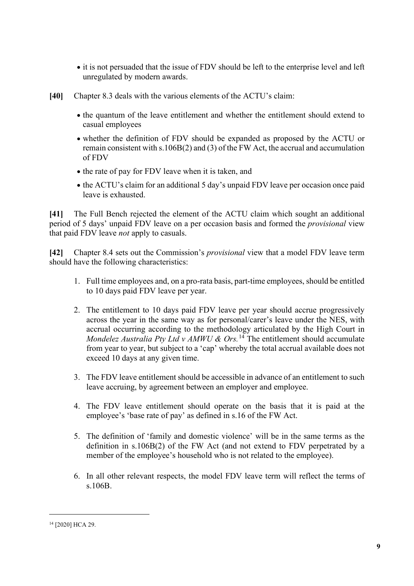- it is not persuaded that the issue of FDV should be left to the enterprise level and left unregulated by modern awards.
- **[40]** Chapter 8.3 deals with the various elements of the ACTU's claim:
	- the quantum of the leave entitlement and whether the entitlement should extend to casual employees
	- whether the definition of FDV should be expanded as proposed by the ACTU or remain consistent with s.106B(2) and (3) of the FW Act, the accrual and accumulation of FDV
	- the rate of pay for FDV leave when it is taken, and
	- the ACTU's claim for an additional 5 day's unpaid FDV leave per occasion once paid leave is exhausted.

**[41]** The Full Bench rejected the element of the ACTU claim which sought an additional period of 5 days' unpaid FDV leave on a per occasion basis and formed the *provisional* view that paid FDV leave *not* apply to casuals.

**[42]** Chapter 8.4 sets out the Commission's *provisional* view that a model FDV leave term should have the following characteristics:

- 1. Full time employees and, on a pro-rata basis, part-time employees, should be entitled to 10 days paid FDV leave per year.
- 2. The entitlement to 10 days paid FDV leave per year should accrue progressively across the year in the same way as for personal/carer's leave under the NES, with accrual occurring according to the methodology articulated by the High Court in *Mondelez Australia Pty Ltd v AMWU & Ors.* [14](#page-8-0) The entitlement should accumulate from year to year, but subject to a 'cap' whereby the total accrual available does not exceed 10 days at any given time.
- 3. The FDV leave entitlement should be accessible in advance of an entitlement to such leave accruing, by agreement between an employer and employee.
- 4. The FDV leave entitlement should operate on the basis that it is paid at the employee's 'base rate of pay' as defined in s.16 of the FW Act.
- 5. The definition of 'family and domestic violence' will be in the same terms as the definition in s.106B(2) of the FW Act (and not extend to FDV perpetrated by a member of the employee's household who is not related to the employee).
- 6. In all other relevant respects, the model FDV leave term will reflect the terms of s.106B.

<span id="page-8-0"></span><sup>14</sup> [2020] HCA 29.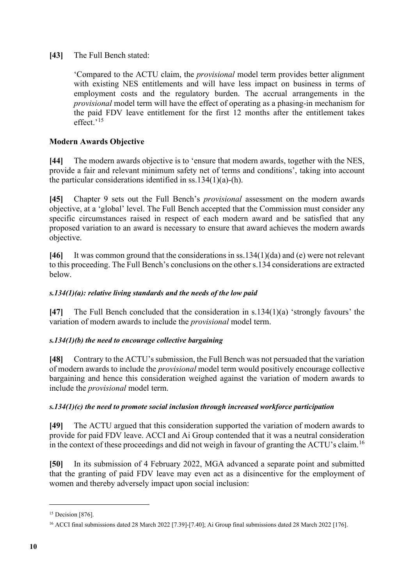**[43]** The Full Bench stated:

'Compared to the ACTU claim, the *provisional* model term provides better alignment with existing NES entitlements and will have less impact on business in terms of employment costs and the regulatory burden. The accrual arrangements in the *provisional* model term will have the effect of operating as a phasing-in mechanism for the paid FDV leave entitlement for the first 12 months after the entitlement takes effect.'<sup>[15](#page-9-0)</sup>

### **Modern Awards Objective**

**[44]** The modern awards objective is to 'ensure that modern awards, together with the NES, provide a fair and relevant minimum safety net of terms and conditions', taking into account the particular considerations identified in ss.134(1)(a)-(h).

**[45]** Chapter 9 sets out the Full Bench's *provisional* assessment on the modern awards objective, at a 'global' level. The Full Bench accepted that the Commission must consider any specific circumstances raised in respect of each modern award and be satisfied that any proposed variation to an award is necessary to ensure that award achieves the modern awards objective.

**[46]** It was common ground that the considerations in ss.134(1)(da) and (e) were not relevant to this proceeding. The Full Bench's conclusions on the other s.134 considerations are extracted below.

#### *s.134(1)(a): relative living standards and the needs of the low paid*

**[47]** The Full Bench concluded that the consideration in s.134(1)(a) 'strongly favours' the variation of modern awards to include the *provisional* model term.

#### *s.134(1)(b) the need to encourage collective bargaining*

**[48]** Contrary to the ACTU's submission, the Full Bench was not persuaded that the variation of modern awards to include the *provisional* model term would positively encourage collective bargaining and hence this consideration weighed against the variation of modern awards to include the *provisional* model term.

#### *s.134(1)(c) the need to promote social inclusion through increased workforce participation*

**[49]** The ACTU argued that this consideration supported the variation of modern awards to provide for paid FDV leave. ACCI and Ai Group contended that it was a neutral consideration in the context of these proceedings and did not weigh in favour of granting the ACTU's claim.<sup>[16](#page-9-1)</sup>

**[50]** In its submission of 4 February 2022, MGA advanced a separate point and submitted that the granting of paid FDV leave may even act as a disincentive for the employment of women and thereby adversely impact upon social inclusion:

<span id="page-9-0"></span><sup>&</sup>lt;sup>15</sup> Decision [876].

<span id="page-9-1"></span><sup>&</sup>lt;sup>16</sup> ACCI final submissions dated 28 March 2022 [7.39]-[7.40]; Ai Group final submissions dated 28 March 2022 [176].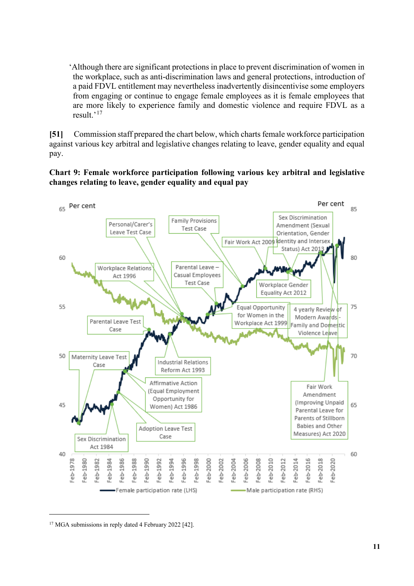'Although there are significant protections in place to prevent discrimination of women in the workplace, such as anti-discrimination laws and general protections, introduction of a paid FDVL entitlement may nevertheless inadvertently disincentivise some employers from engaging or continue to engage female employees as it is female employees that are more likely to experience family and domestic violence and require FDVL as a result.'[17](#page-10-0)

**[51]** Commission staff prepared the chart below, which charts female workforce participation against various key arbitral and legislative changes relating to leave, gender equality and equal pay.

#### **Chart 9: Female workforce participation following various key arbitral and legislative changes relating to leave, gender equality and equal pay**



<span id="page-10-0"></span><sup>&</sup>lt;sup>17</sup> MGA submissions in reply dated 4 February 2022 [42].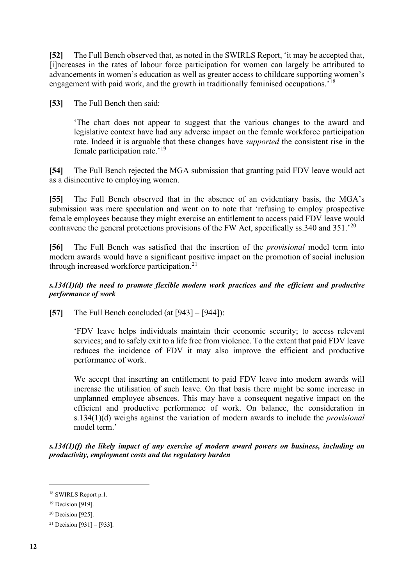**[52]** The Full Bench observed that, as noted in the SWIRLS Report, 'it may be accepted that, [i]ncreases in the rates of labour force participation for women can largely be attributed to advancements in women's education as well as greater access to childcare supporting women's engagement with paid work, and the growth in traditionally feminised occupations.'[18](#page-11-0)

**[53]** The Full Bench then said:

'The chart does not appear to suggest that the various changes to the award and legislative context have had any adverse impact on the female workforce participation rate. Indeed it is arguable that these changes have *supported* the consistent rise in the female participation rate.'[19](#page-11-1)

**[54]** The Full Bench rejected the MGA submission that granting paid FDV leave would act as a disincentive to employing women.

**[55]** The Full Bench observed that in the absence of an evidentiary basis, the MGA's submission was mere speculation and went on to note that 'refusing to employ prospective female employees because they might exercise an entitlement to access paid FDV leave would contravene the general protections provisions of the FW Act, specifically ss. 340 and  $351.^{20}$  $351.^{20}$  $351.^{20}$ 

**[56]** The Full Bench was satisfied that the insertion of the *provisional* model term into modern awards would have a significant positive impact on the promotion of social inclusion through increased workforce participation.<sup>[21](#page-11-3)</sup>

#### *s.134(1)(d) the need to promote flexible modern work practices and the efficient and productive performance of work*

**[57]** The Full Bench concluded (at [943] – [944]):

'FDV leave helps individuals maintain their economic security; to access relevant services; and to safely exit to a life free from violence. To the extent that paid FDV leave reduces the incidence of FDV it may also improve the efficient and productive performance of work.

We accept that inserting an entitlement to paid FDV leave into modern awards will increase the utilisation of such leave. On that basis there might be some increase in unplanned employee absences. This may have a consequent negative impact on the efficient and productive performance of work. On balance, the consideration in s.134(1)(d) weighs against the variation of modern awards to include the *provisional*  model term.'

*s.134(1)(f) the likely impact of any exercise of modern award powers on business, including on productivity, employment costs and the regulatory burden*

<span id="page-11-0"></span><sup>18</sup> SWIRLS Report p.1.

<span id="page-11-1"></span><sup>19</sup> Decision [919].

<span id="page-11-2"></span><sup>20</sup> Decision [925].

<span id="page-11-3"></span><sup>&</sup>lt;sup>21</sup> Decision [931] – [933].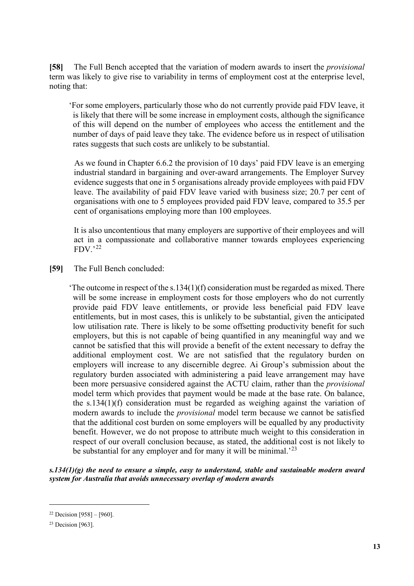**[58]** The Full Bench accepted that the variation of modern awards to insert the *provisional*  term was likely to give rise to variability in terms of employment cost at the enterprise level, noting that:

'For some employers, particularly those who do not currently provide paid FDV leave, it is likely that there will be some increase in employment costs, although the significance of this will depend on the number of employees who access the entitlement and the number of days of paid leave they take. The evidence before us in respect of utilisation rates suggests that such costs are unlikely to be substantial.

As we found in Chapter 6.6.2 the provision of 10 days' paid FDV leave is an emerging industrial standard in bargaining and over-award arrangements. The Employer Survey evidence suggests that one in 5 organisations already provide employees with paid FDV leave. The availability of paid FDV leave varied with business size; 20.7 per cent of organisations with one to 5 employees provided paid FDV leave, compared to 35.5 per cent of organisations employing more than 100 employees.

It is also uncontentious that many employers are supportive of their employees and will act in a compassionate and collaborative manner towards employees experiencing  $FDV.^{22}$  $FDV.^{22}$  $FDV.^{22}$ 

**[59]** The Full Bench concluded:

'The outcome in respect of the s.134(1)(f) consideration must be regarded as mixed. There will be some increase in employment costs for those employers who do not currently provide paid FDV leave entitlements, or provide less beneficial paid FDV leave entitlements, but in most cases, this is unlikely to be substantial, given the anticipated low utilisation rate. There is likely to be some offsetting productivity benefit for such employers, but this is not capable of being quantified in any meaningful way and we cannot be satisfied that this will provide a benefit of the extent necessary to defray the additional employment cost. We are not satisfied that the regulatory burden on employers will increase to any discernible degree. Ai Group's submission about the regulatory burden associated with administering a paid leave arrangement may have been more persuasive considered against the ACTU claim, rather than the *provisional*  model term which provides that payment would be made at the base rate. On balance, the s.134(1)(f) consideration must be regarded as weighing against the variation of modern awards to include the *provisional* model term because we cannot be satisfied that the additional cost burden on some employers will be equalled by any productivity benefit. However, we do not propose to attribute much weight to this consideration in respect of our overall conclusion because, as stated, the additional cost is not likely to be substantial for any employer and for many it will be minimal.<sup>[23](#page-12-1)</sup>

*s.134(1)(g) the need to ensure a simple, easy to understand, stable and sustainable modern award system for Australia that avoids unnecessary overlap of modern awards*

<span id="page-12-0"></span> $22$  Decision [958] – [960].

<span id="page-12-1"></span><sup>&</sup>lt;sup>23</sup> Decision [963].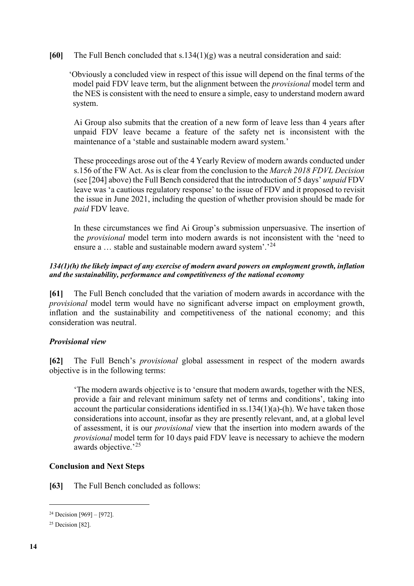**[60]** The Full Bench concluded that s.134(1)(g) was a neutral consideration and said:

'Obviously a concluded view in respect of this issue will depend on the final terms of the model paid FDV leave term, but the alignment between the *provisional* model term and the NES is consistent with the need to ensure a simple, easy to understand modern award system.

Ai Group also submits that the creation of a new form of leave less than 4 years after unpaid FDV leave became a feature of the safety net is inconsistent with the maintenance of a 'stable and sustainable modern award system.'

These proceedings arose out of the 4 Yearly Review of modern awards conducted under s.156 of the FW Act. As is clear from the conclusion to the *March 2018 FDVL Decision* (see [204] above) the Full Bench considered that the introduction of 5 days' *unpaid* FDV leave was 'a cautious regulatory response' to the issue of FDV and it proposed to revisit the issue in June 2021, including the question of whether provision should be made for *paid* FDV leave.

In these circumstances we find Ai Group's submission unpersuasive. The insertion of the *provisional* model term into modern awards is not inconsistent with the 'need to ensure a ... stable and sustainable modern award system'.'<sup>[24](#page-13-0)</sup>

#### *134(1)(h) the likely impact of any exercise of modern award powers on employment growth, inflation and the sustainability, performance and competitiveness of the national economy*

**[61]** The Full Bench concluded that the variation of modern awards in accordance with the *provisional* model term would have no significant adverse impact on employment growth, inflation and the sustainability and competitiveness of the national economy; and this consideration was neutral.

#### *Provisional view*

**[62]** The Full Bench's *provisional* global assessment in respect of the modern awards objective is in the following terms:

'The modern awards objective is to 'ensure that modern awards, together with the NES, provide a fair and relevant minimum safety net of terms and conditions', taking into account the particular considerations identified in  $ss.134(1)(a)$ -(h). We have taken those considerations into account, insofar as they are presently relevant, and, at a global level of assessment, it is our *provisional* view that the insertion into modern awards of the *provisional* model term for 10 days paid FDV leave is necessary to achieve the modern awards objective.'<sup>[25](#page-13-1)</sup>

#### **Conclusion and Next Steps**

**[63]** The Full Bench concluded as follows:

<span id="page-13-0"></span> $24$  Decision [969] – [972].

<span id="page-13-1"></span> $25$  Decision [82].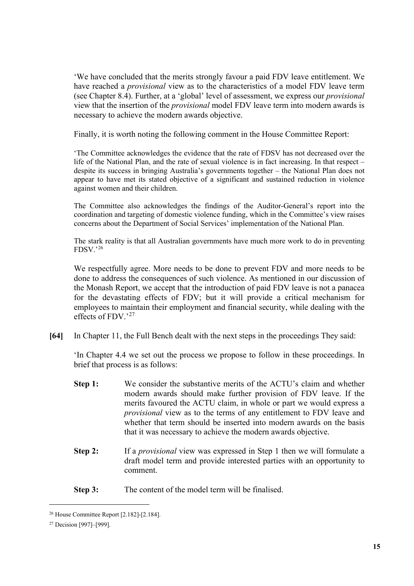'We have concluded that the merits strongly favour a paid FDV leave entitlement. We have reached a *provisional* view as to the characteristics of a model FDV leave term (see Chapter 8.4). Further, at a 'global' level of assessment, we express our *provisional* view that the insertion of the *provisional* model FDV leave term into modern awards is necessary to achieve the modern awards objective.

Finally, it is worth noting the following comment in the House Committee Report:

'The Committee acknowledges the evidence that the rate of FDSV has not decreased over the life of the National Plan, and the rate of sexual violence is in fact increasing. In that respect – despite its success in bringing Australia's governments together – the National Plan does not appear to have met its stated objective of a significant and sustained reduction in violence against women and their children.

The Committee also acknowledges the findings of the Auditor-General's report into the coordination and targeting of domestic violence funding, which in the Committee's view raises concerns about the Department of Social Services' implementation of the National Plan.

The stark reality is that all Australian governments have much more work to do in preventing FDSV.'[26](#page-14-0)

We respectfully agree. More needs to be done to prevent FDV and more needs to be done to address the consequences of such violence. As mentioned in our discussion of the Monash Report, we accept that the introduction of paid FDV leave is not a panacea for the devastating effects of FDV; but it will provide a critical mechanism for employees to maintain their employment and financial security, while dealing with the effects of FDV.'<sup>[27](#page-14-1)</sup>

**[64]** In Chapter 11, the Full Bench dealt with the next steps in the proceedings They said:

'In Chapter 4.4 we set out the process we propose to follow in these proceedings. In brief that process is as follows:

- **Step 1:** We consider the substantive merits of the ACTU's claim and whether modern awards should make further provision of FDV leave. If the merits favoured the ACTU claim, in whole or part we would express a *provisional* view as to the terms of any entitlement to FDV leave and whether that term should be inserted into modern awards on the basis that it was necessary to achieve the modern awards objective.
- **Step 2:** If a *provisional* view was expressed in Step 1 then we will formulate a draft model term and provide interested parties with an opportunity to comment.
- **Step 3:** The content of the model term will be finalised.

<span id="page-14-0"></span><sup>26</sup> House Committee Report [2.182]-[2.184].

<span id="page-14-1"></span><sup>27</sup> Decision [997]–[999].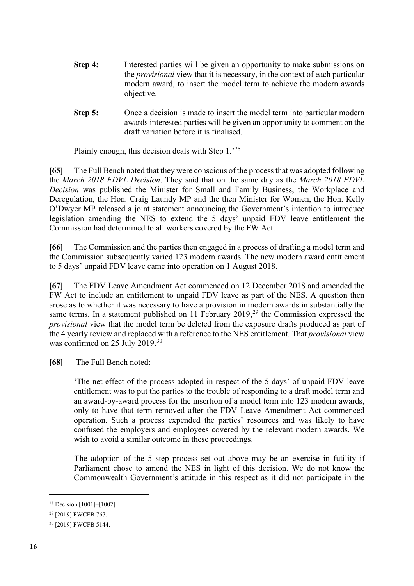- **Step 4:** Interested parties will be given an opportunity to make submissions on the *provisional* view that it is necessary, in the context of each particular modern award, to insert the model term to achieve the modern awards objective.
- **Step 5:** Once a decision is made to insert the model term into particular modern awards interested parties will be given an opportunity to comment on the draft variation before it is finalised.

Plainly enough, this decision deals with Step 1.'[28](#page-15-0)

**[65]** The Full Bench noted that they were conscious of the process that was adopted following the *March 2018 FDVL Decision*. They said that on the same day as the *March 2018 FDVL Decision* was published the Minister for Small and Family Business, the Workplace and Deregulation, the Hon. Craig Laundy MP and the then Minister for Women, the Hon. Kelly O'Dwyer MP released a joint statement announcing the Government's intention to introduce legislation amending the NES to extend the 5 days' unpaid FDV leave entitlement the Commission had determined to all workers covered by the FW Act.

**[66]** The Commission and the parties then engaged in a process of drafting a model term and the Commission subsequently varied 123 modern awards. The new modern award entitlement to 5 days' unpaid FDV leave came into operation on 1 August 2018.

**[67]** The FDV Leave Amendment Act commenced on 12 December 2018 and amended the FW Act to include an entitlement to unpaid FDV leave as part of the NES. A question then arose as to whether it was necessary to have a provision in modern awards in substantially the same terms. In a statement published on 11 February 2019,<sup>[29](#page-15-1)</sup> the Commission expressed the *provisional* view that the model term be deleted from the exposure drafts produced as part of the 4 yearly review and replaced with a reference to the NES entitlement. That *provisional* view was confirmed on 25 July 2019.<sup>[30](#page-15-2)</sup>

**[68]** The Full Bench noted:

'The net effect of the process adopted in respect of the 5 days' of unpaid FDV leave entitlement was to put the parties to the trouble of responding to a draft model term and an award-by-award process for the insertion of a model term into 123 modern awards, only to have that term removed after the FDV Leave Amendment Act commenced operation. Such a process expended the parties' resources and was likely to have confused the employers and employees covered by the relevant modern awards. We wish to avoid a similar outcome in these proceedings.

The adoption of the 5 step process set out above may be an exercise in futility if Parliament chose to amend the NES in light of this decision. We do not know the Commonwealth Government's attitude in this respect as it did not participate in the

<span id="page-15-0"></span><sup>28</sup> Decision [1001]–[1002].

<span id="page-15-1"></span><sup>29</sup> [2019] FWCFB 767.

<span id="page-15-2"></span><sup>30</sup> [2019] FWCFB 5144.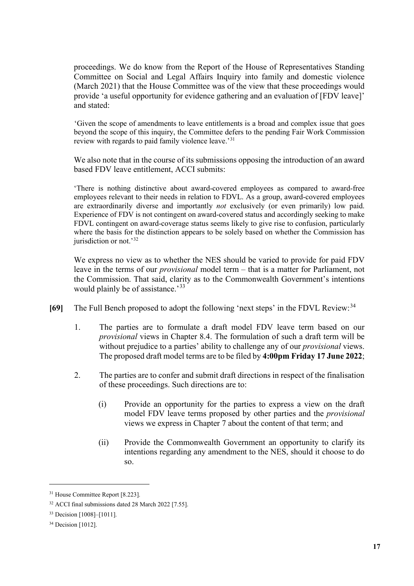proceedings. We do know from the Report of the House of Representatives Standing Committee on Social and Legal Affairs Inquiry into family and domestic violence (March 2021) that the House Committee was of the view that these proceedings would provide 'a useful opportunity for evidence gathering and an evaluation of [FDV leave]' and stated:

'Given the scope of amendments to leave entitlements is a broad and complex issue that goes beyond the scope of this inquiry, the Committee defers to the pending Fair Work Commission review with regards to paid family violence leave.'[31](#page-16-0)

We also note that in the course of its submissions opposing the introduction of an award based FDV leave entitlement, ACCI submits:

'There is nothing distinctive about award-covered employees as compared to award-free employees relevant to their needs in relation to FDVL. As a group, award-covered employees are extraordinarily diverse and importantly *not* exclusively (or even primarily) low paid. Experience of FDV is not contingent on award-covered status and accordingly seeking to make FDVL contingent on award-coverage status seems likely to give rise to confusion, particularly where the basis for the distinction appears to be solely based on whether the Commission has jurisdiction or not.'<sup>[32](#page-16-1)</sup>

We express no view as to whether the NES should be varied to provide for paid FDV leave in the terms of our *provisional* model term – that is a matter for Parliament, not the Commission. That said, clarity as to the Commonwealth Government's intentions would plainly be of assistance.<sup>[33](#page-16-2)</sup>

- **[69]** The Full Bench proposed to adopt the following 'next steps' in the FDVL Review:<sup>[34](#page-16-3)</sup>
	- 1. The parties are to formulate a draft model FDV leave term based on our *provisional* views in Chapter 8.4. The formulation of such a draft term will be without prejudice to a parties' ability to challenge any of our *provisional* views. The proposed draft model terms are to be filed by **4:00pm Friday 17 June 2022**;
	- 2. The parties are to confer and submit draft directions in respect of the finalisation of these proceedings. Such directions are to:
		- (i) Provide an opportunity for the parties to express a view on the draft model FDV leave terms proposed by other parties and the *provisional*  views we express in Chapter 7 about the content of that term; and
		- (ii) Provide the Commonwealth Government an opportunity to clarify its intentions regarding any amendment to the NES, should it choose to do so.

<span id="page-16-0"></span><sup>&</sup>lt;sup>31</sup> House Committee Report [8.223].

<span id="page-16-1"></span><sup>32</sup> ACCI final submissions dated 28 March 2022 [7.55].

<span id="page-16-2"></span><sup>33</sup> Decision [1008]–[1011].

<span id="page-16-3"></span><sup>34</sup> Decision [1012].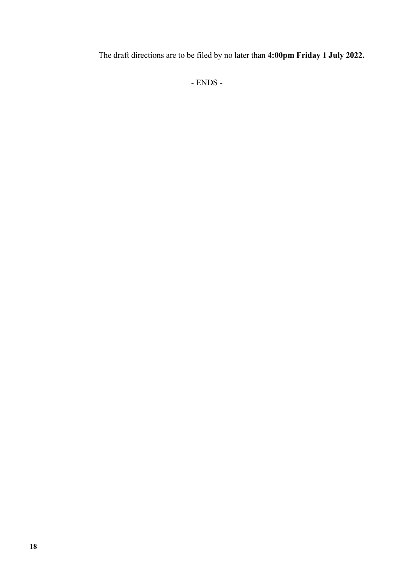The draft directions are to be filed by no later than **4:00pm Friday 1 July 2022.**

- ENDS -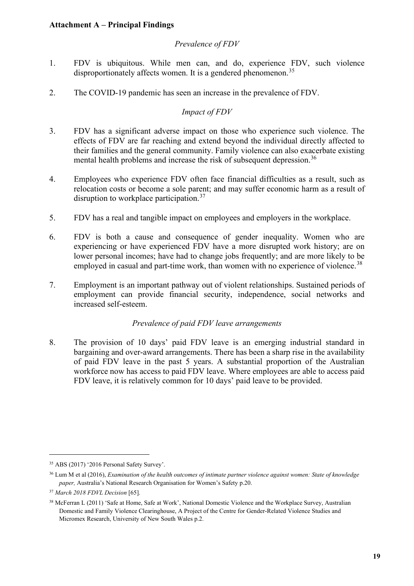#### **Attachment A – Principal Findings**

#### *Prevalence of FDV*

- 1. FDV is ubiquitous. While men can, and do, experience FDV, such violence disproportionately affects women. It is a gendered phenomenon.<sup>[35](#page-18-0)</sup>
- 2. The COVID-19 pandemic has seen an increase in the prevalence of FDV.

### *Impact of FDV*

- 3. FDV has a significant adverse impact on those who experience such violence. The effects of FDV are far reaching and extend beyond the individual directly affected to their families and the general community. Family violence can also exacerbate existing mental health problems and increase the risk of subsequent depression.<sup>[36](#page-18-1)</sup>
- 4. Employees who experience FDV often face financial difficulties as a result, such as relocation costs or become a sole parent; and may suffer economic harm as a result of disruption to workplace participation.<sup>[37](#page-18-2)</sup>
- 5. FDV has a real and tangible impact on employees and employers in the workplace.
- 6. FDV is both a cause and consequence of gender inequality. Women who are experiencing or have experienced FDV have a more disrupted work history; are on lower personal incomes; have had to change jobs frequently; and are more likely to be employed in casual and part-time work, than women with no experience of violence.<sup>[38](#page-18-3)</sup>
- 7. Employment is an important pathway out of violent relationships. Sustained periods of employment can provide financial security, independence, social networks and increased self-esteem.

#### *Prevalence of paid FDV leave arrangements*

8. The provision of 10 days' paid FDV leave is an emerging industrial standard in bargaining and over-award arrangements. There has been a sharp rise in the availability of paid FDV leave in the past 5 years. A substantial proportion of the Australian workforce now has access to paid FDV leave. Where employees are able to access paid FDV leave, it is relatively common for 10 days' paid leave to be provided.

<span id="page-18-0"></span><sup>35</sup> ABS (2017) '2016 Personal Safety Survey'.

<span id="page-18-1"></span><sup>36</sup> Lum M et al (2016), *Examination of the health outcomes of intimate partner violence against women: State of knowledge paper,* Australia's National Research Organisation for Women's Safety p.20.

<span id="page-18-2"></span><sup>37</sup> *March 2018 FDVL Decision* [65].

<span id="page-18-3"></span><sup>&</sup>lt;sup>38</sup> McFerran L (2011) 'Safe at Home, Safe at Work', National Domestic Violence and the Workplace Survey, Australian Domestic and Family Violence Clearinghouse, A Project of the Centre for Gender-Related Violence Studies and Micromex Research, University of New South Wales p.2.